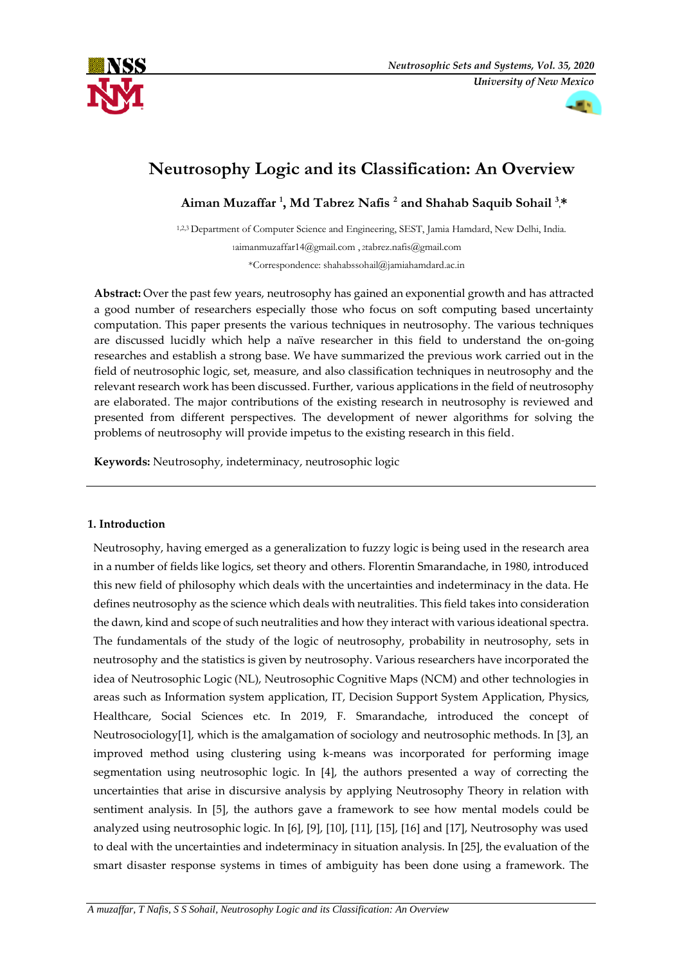

# **Neutrosophy Logic and its Classification: An Overview**

Aiman Muzaffar<sup>1</sup>, Md Tabrez Nafis<sup>2</sup> and Shahab Saquib Sohail<sup>3</sup><sup>\*</sup>

1,2,3 Department of Computer Science and Engineering, SEST, Jamia Hamdard, New Delhi, India. 1aimanmuzaffar14@gmail.com , 2tabrez.nafis@gmail.com \*Correspondence: shahabssohail@jamiahamdard.ac.in

**Abstract:** Over the past few years, neutrosophy has gained an exponential growth and has attracted a good number of researchers especially those who focus on soft computing based uncertainty computation. This paper presents the various techniques in neutrosophy. The various techniques are discussed lucidly which help a naïve researcher in this field to understand the on-going researches and establish a strong base. We have summarized the previous work carried out in the field of neutrosophic logic, set, measure, and also classification techniques in neutrosophy and the relevant research work has been discussed. Further, various applications in the field of neutrosophy are elaborated. The major contributions of the existing research in neutrosophy is reviewed and presented from different perspectives. The development of newer algorithms for solving the problems of neutrosophy will provide impetus to the existing research in this field.

**Keywords:** Neutrosophy, indeterminacy, neutrosophic logic

# **1. Introduction**

Neutrosophy, having emerged as a generalization to fuzzy logic is being used in the research area in a number of fields like logics, set theory and others. Florentin Smarandache, in 1980, introduced this new field of philosophy which deals with the uncertainties and indeterminacy in the data. He defines neutrosophy as the science which deals with neutralities. This field takes into consideration the dawn, kind and scope of such neutralities and how they interact with various ideational spectra. The fundamentals of the study of the logic of neutrosophy, probability in neutrosophy, sets in neutrosophy and the statistics is given by neutrosophy. Various researchers have incorporated the idea of Neutrosophic Logic (NL), Neutrosophic Cognitive Maps (NCM) and other technologies in areas such as Information system application, IT, Decision Support System Application, Physics, Healthcare, Social Sciences etc. In 2019, F. Smarandache, introduced the concept of Neutrosociology[1], which is the amalgamation of sociology and neutrosophic methods. In [3], an improved method using clustering using k-means was incorporated for performing image segmentation using neutrosophic logic. In [4], the authors presented a way of correcting the uncertainties that arise in discursive analysis by applying Neutrosophy Theory in relation with sentiment analysis. In [5], the authors gave a framework to see how mental models could be analyzed using neutrosophic logic. In [6], [9], [10], [11], [15], [16] and [17], Neutrosophy was used to deal with the uncertainties and indeterminacy in situation analysis. In [25], the evaluation of the smart disaster response systems in times of ambiguity has been done using a framework. The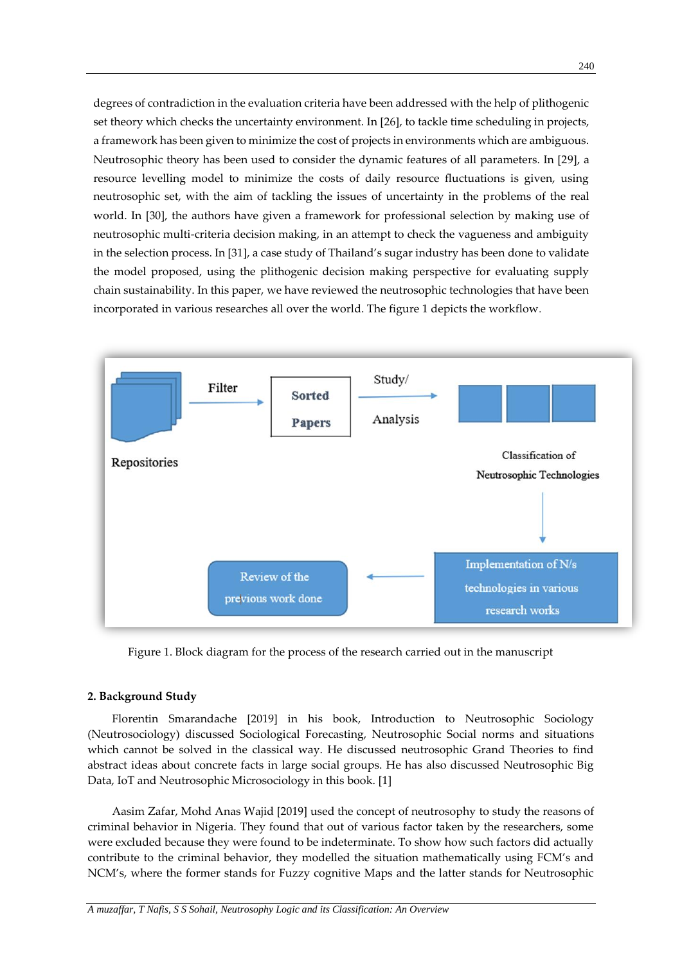degrees of contradiction in the evaluation criteria have been addressed with the help of plithogenic set theory which checks the uncertainty environment. In [26], to tackle time scheduling in projects, a framework has been given to minimize the cost of projects in environments which are ambiguous. Neutrosophic theory has been used to consider the dynamic features of all parameters. In [29], a resource levelling model to minimize the costs of daily resource fluctuations is given, using neutrosophic set, with the aim of tackling the issues of uncertainty in the problems of the real world. In [30], the authors have given a framework for professional selection by making use of neutrosophic multi-criteria decision making, in an attempt to check the vagueness and ambiguity in the selection process. In [31], a case study of Thailand's sugar industry has been done to validate the model proposed, using the plithogenic decision making perspective for evaluating supply chain sustainability. In this paper, we have reviewed the neutrosophic technologies that have been incorporated in various researches all over the world. The figure 1 depicts the workflow.



Figure 1. Block diagram for the process of the research carried out in the manuscript

### **2. Background Study**

Florentin Smarandache [2019] in his book, Introduction to Neutrosophic Sociology (Neutrosociology) discussed Sociological Forecasting, Neutrosophic Social norms and situations which cannot be solved in the classical way. He discussed neutrosophic Grand Theories to find abstract ideas about concrete facts in large social groups. He has also discussed Neutrosophic Big Data, IoT and Neutrosophic Microsociology in this book. [1]

Aasim Zafar, Mohd Anas Wajid [2019] used the concept of neutrosophy to study the reasons of criminal behavior in Nigeria. They found that out of various factor taken by the researchers, some were excluded because they were found to be indeterminate. To show how such factors did actually contribute to the criminal behavior, they modelled the situation mathematically using FCM's and NCM's, where the former stands for Fuzzy cognitive Maps and the latter stands for Neutrosophic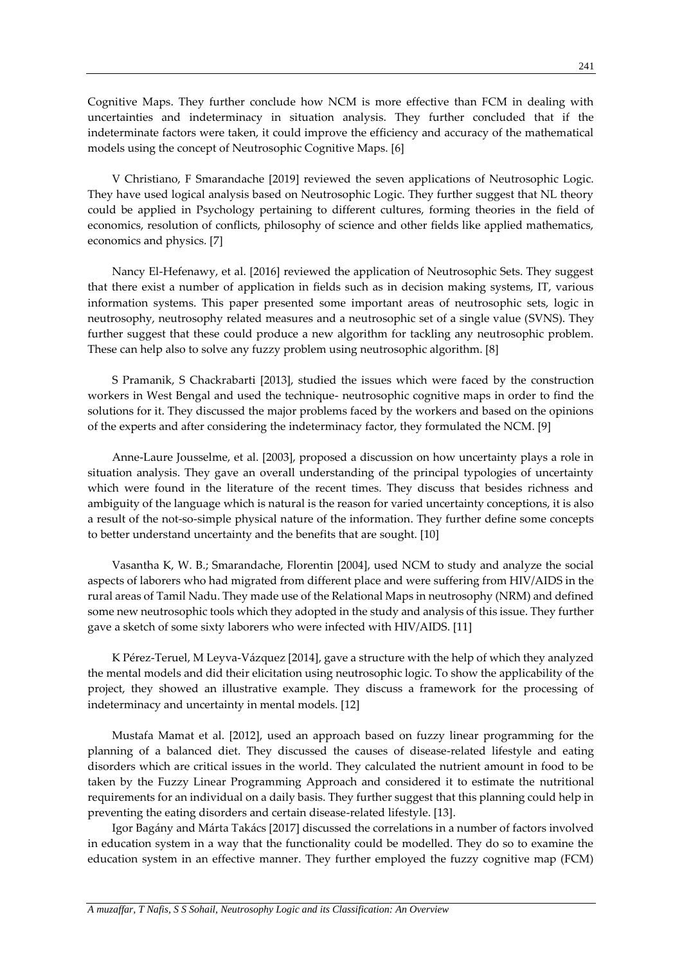241

Cognitive Maps. They further conclude how NCM is more effective than FCM in dealing with uncertainties and indeterminacy in situation analysis. They further concluded that if the indeterminate factors were taken, it could improve the efficiency and accuracy of the mathematical models using the concept of Neutrosophic Cognitive Maps. [6]

V Christiano, F Smarandache [2019] reviewed the seven applications of Neutrosophic Logic. They have used logical analysis based on Neutrosophic Logic. They further suggest that NL theory could be applied in Psychology pertaining to different cultures, forming theories in the field of economics, resolution of conflicts, philosophy of science and other fields like applied mathematics, economics and physics. [7]

Nancy El-Hefenawy, et al. [2016] reviewed the application of Neutrosophic Sets. They suggest that there exist a number of application in fields such as in decision making systems, IT, various information systems. This paper presented some important areas of neutrosophic sets, logic in neutrosophy, neutrosophy related measures and a neutrosophic set of a single value (SVNS). They further suggest that these could produce a new algorithm for tackling any neutrosophic problem. These can help also to solve any fuzzy problem using neutrosophic algorithm. [8]

S Pramanik, S Chackrabarti [2013], studied the issues which were faced by the construction workers in West Bengal and used the technique- neutrosophic cognitive maps in order to find the solutions for it. They discussed the major problems faced by the workers and based on the opinions of the experts and after considering the indeterminacy factor, they formulated the NCM. [9]

Anne-Laure Jousselme, et al. [2003], proposed a discussion on how uncertainty plays a role in situation analysis. They gave an overall understanding of the principal typologies of uncertainty which were found in the literature of the recent times. They discuss that besides richness and ambiguity of the language which is natural is the reason for varied uncertainty conceptions, it is also a result of the not-so-simple physical nature of the information. They further define some concepts to better understand uncertainty and the benefits that are sought. [10]

Vasantha K, W. B.; Smarandache, Florentin [2004], used NCM to study and analyze the social aspects of laborers who had migrated from different place and were suffering from HIV/AIDS in the rural areas of Tamil Nadu. They made use of the Relational Maps in neutrosophy (NRM) and defined some new neutrosophic tools which they adopted in the study and analysis of this issue. They further gave a sketch of some sixty laborers who were infected with HIV/AIDS. [11]

K Pérez-Teruel, M Leyva-Vázquez [2014], gave a structure with the help of which they analyzed the mental models and did their elicitation using neutrosophic logic. To show the applicability of the project, they showed an illustrative example. They discuss a framework for the processing of indeterminacy and uncertainty in mental models. [12]

Mustafa Mamat et al. [2012], used an approach based on fuzzy linear programming for the planning of a balanced diet. They discussed the causes of disease-related lifestyle and eating disorders which are critical issues in the world. They calculated the nutrient amount in food to be taken by the Fuzzy Linear Programming Approach and considered it to estimate the nutritional requirements for an individual on a daily basis. They further suggest that this planning could help in preventing the eating disorders and certain disease-related lifestyle. [13].

Igor Bagány and Márta Takács [2017] discussed the correlations in a number of factors involved in education system in a way that the functionality could be modelled. They do so to examine the education system in an effective manner. They further employed the fuzzy cognitive map (FCM)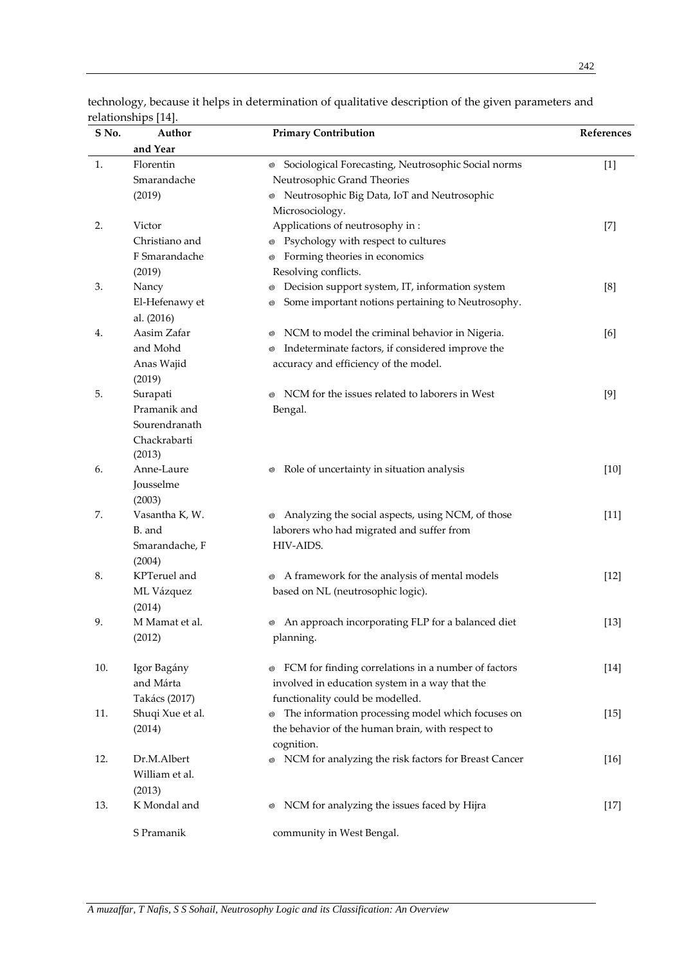| S No. | Author                   | <b>Primary Contribution</b>                                         | References |
|-------|--------------------------|---------------------------------------------------------------------|------------|
|       | and Year                 |                                                                     |            |
| 1.    | Florentin                | Sociological Forecasting, Neutrosophic Social norms<br>$^\circledR$ | $[1]$      |
|       | Smarandache              | Neutrosophic Grand Theories                                         |            |
|       | (2019)                   | <sup>®</sup> Neutrosophic Big Data, IoT and Neutrosophic            |            |
|       |                          | Microsociology.                                                     |            |
| 2.    | Victor                   | Applications of neutrosophy in:                                     | $[7]$      |
|       | Christiano and           | <sup>®</sup> Psychology with respect to cultures                    |            |
|       | F Smarandache            | Forming theories in economics<br>Ø                                  |            |
|       | (2019)                   | Resolving conflicts.                                                |            |
| 3.    | Nancy                    | Decision support system, IT, information system<br>⊚                | [8]        |
|       | El-Hefenawy et           | Some important notions pertaining to Neutrosophy.<br>©)             |            |
|       | al. (2016)               |                                                                     |            |
| 4.    | Aasim Zafar              | NCM to model the criminal behavior in Nigeria.<br>⊚                 | [6]        |
|       | and Mohd                 | Indeterminate factors, if considered improve the<br>⊚               |            |
|       | Anas Wajid               | accuracy and efficiency of the model.                               |            |
|       | (2019)                   |                                                                     |            |
| 5.    | Surapati                 | NCM for the issues related to laborers in West<br>⊚                 | [9]        |
|       | Pramanik and             | Bengal.                                                             |            |
|       | Sourendranath            |                                                                     |            |
|       | Chackrabarti             |                                                                     |            |
|       | (2013)                   |                                                                     |            |
| 6.    | Anne-Laure               | Role of uncertainty in situation analysis<br>$_{\odot}$             | $[10]$     |
|       | Jousselme                |                                                                     |            |
|       | (2003)                   |                                                                     |            |
| 7.    | Vasantha K, W.           | <sup>®</sup> Analyzing the social aspects, using NCM, of those      | $[11]$     |
|       | B. and                   | laborers who had migrated and suffer from                           |            |
|       | Smarandache, F           | HIV-AIDS.                                                           |            |
|       | (2004)                   |                                                                     |            |
| 8.    | KPTeruel and             | ◎ A framework for the analysis of mental models                     | $[12]$     |
|       | ML Vázquez               | based on NL (neutrosophic logic).                                   |            |
| 9.    | (2014)<br>M Mamat et al. | • An approach incorporating FLP for a balanced diet                 | $[13]$     |
|       | (2012)                   | planning.                                                           |            |
|       |                          |                                                                     |            |
| 10.   | Igor Bagány              | FCM for finding correlations in a number of factors<br>⊚            | $[14]$     |
|       | and Márta                | involved in education system in a way that the                      |            |
|       | Takács (2017)            | functionality could be modelled.                                    |            |
| 11.   | Shuqi Xue et al.         | • The information processing model which focuses on                 | $[15]$     |
|       | (2014)                   | the behavior of the human brain, with respect to                    |            |
|       |                          | cognition.                                                          |            |
| 12.   | Dr.M.Albert              | NCM for analyzing the risk factors for Breast Cancer<br>⊚           | $[16]$     |
|       | William et al.           |                                                                     |            |
|       | (2013)                   |                                                                     |            |
| 13.   | K Mondal and             | NCM for analyzing the issues faced by Hijra<br>⊚                    | $[17]$     |
|       | S Pramanik               | community in West Bengal.                                           |            |

technology, because it helps in determination of qualitative description of the given parameters and relationships [14].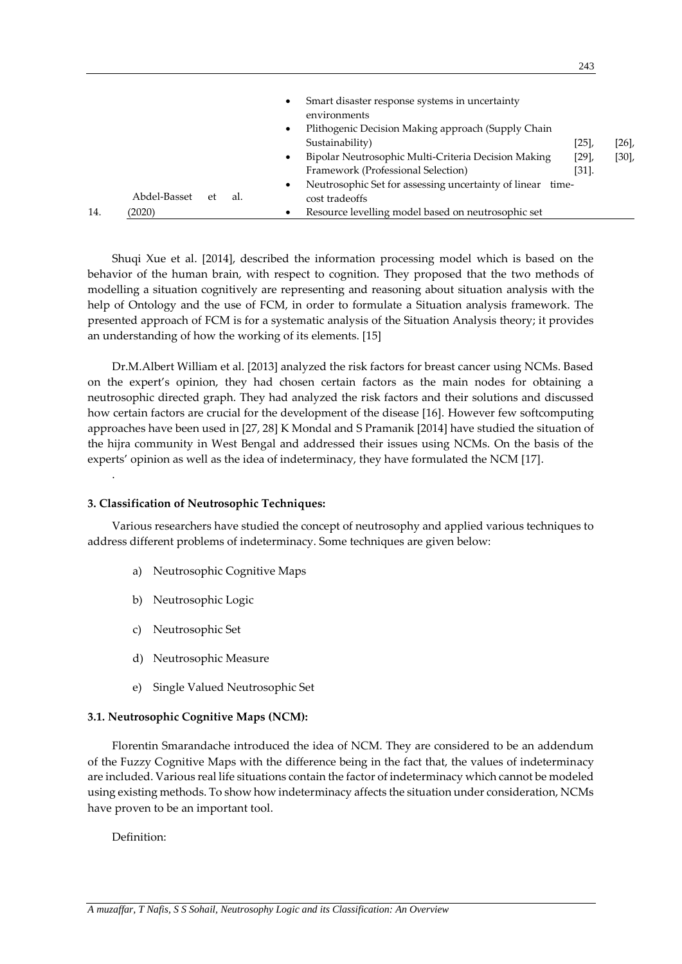|     |              |    |     | Smart disaster response systems in uncertainty<br>٠<br>environments |          |      |
|-----|--------------|----|-----|---------------------------------------------------------------------|----------|------|
|     |              |    |     | Plithogenic Decision Making approach (Supply Chain<br>٠             |          |      |
|     |              |    |     | Sustainability)                                                     | [25]     | [26] |
|     |              |    |     | Bipolar Neutrosophic Multi-Criteria Decision Making<br>٠            | $[29]$ , | [30] |
|     |              |    |     | Framework (Professional Selection)                                  | $[31]$ . |      |
|     |              |    |     | Neutrosophic Set for assessing uncertainty of linear time-          |          |      |
|     | Abdel-Basset | et | al. | cost tradeoffs                                                      |          |      |
| 14. | (2020)       |    |     | Resource levelling model based on neutrosophic set                  |          |      |

Shuqi Xue et al. [2014], described the information processing model which is based on the behavior of the human brain, with respect to cognition. They proposed that the two methods of modelling a situation cognitively are representing and reasoning about situation analysis with the help of Ontology and the use of FCM, in order to formulate a Situation analysis framework. The presented approach of FCM is for a systematic analysis of the Situation Analysis theory; it provides an understanding of how the working of its elements. [15]

Dr.M.Albert William et al. [2013] analyzed the risk factors for breast cancer using NCMs. Based on the expert's opinion, they had chosen certain factors as the main nodes for obtaining a neutrosophic directed graph. They had analyzed the risk factors and their solutions and discussed how certain factors are crucial for the development of the disease [16]. However few softcomputing approaches have been used in [27, 28] K Mondal and S Pramanik [2014] have studied the situation of the hijra community in West Bengal and addressed their issues using NCMs. On the basis of the experts' opinion as well as the idea of indeterminacy, they have formulated the NCM [17].

## **3. Classification of Neutrosophic Techniques:**

Various researchers have studied the concept of neutrosophy and applied various techniques to address different problems of indeterminacy. Some techniques are given below:

- a) Neutrosophic Cognitive Maps
- b) Neutrosophic Logic
- c) Neutrosophic Set
- d) Neutrosophic Measure
- e) Single Valued Neutrosophic Set

#### **3.1. Neutrosophic Cognitive Maps (NCM):**

Florentin Smarandache introduced the idea of NCM. They are considered to be an addendum of the Fuzzy Cognitive Maps with the difference being in the fact that, the values of indeterminacy are included. Various real life situations contain the factor of indeterminacy which cannot be modeled using existing methods. To show how indeterminacy affects the situation under consideration, NCMs have proven to be an important tool.

Definition:

.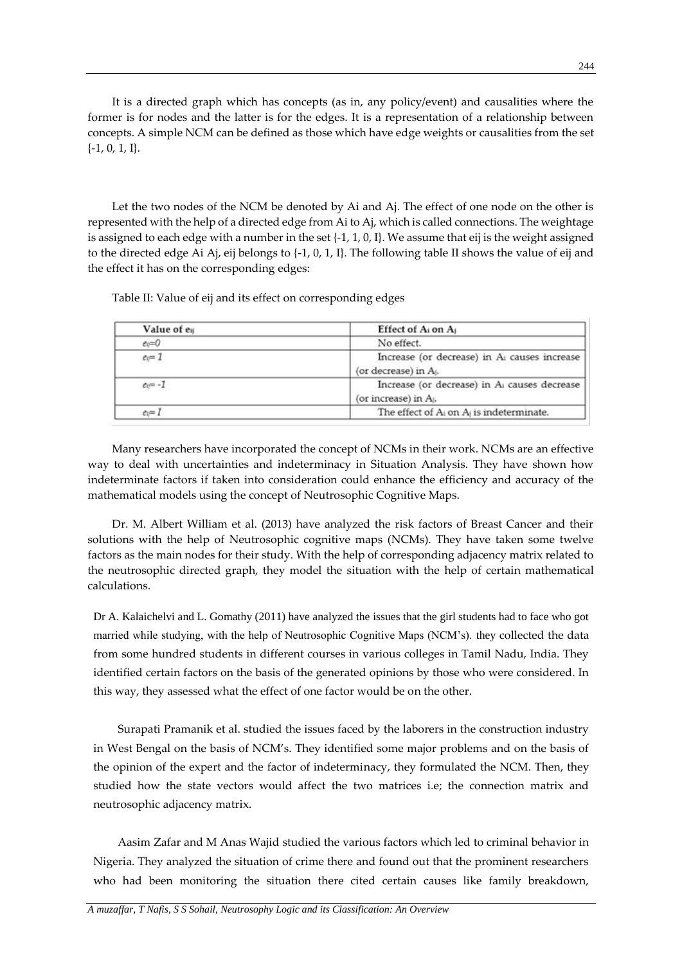It is a directed graph which has concepts (as in, any policy/event) and causalities where the former is for nodes and the latter is for the edges. It is a representation of a relationship between concepts. A simple NCM can be defined as those which have edge weights or causalities from the set {-1, 0, 1, I}.

Let the two nodes of the NCM be denoted by Ai and Aj. The effect of one node on the other is represented with the help of a directed edge from Ai to Aj, which is called connections. The weightage is assigned to each edge with a number in the set  $\{-1, 1, 0, 1\}$ . We assume that eij is the weight assigned to the directed edge Ai Aj, eij belongs to {-1, 0, 1, I}. The following table II shows the value of eij and the effect it has on the corresponding edges:

Table II: Value of eij and its effect on corresponding edges

| Value of e <sub>ij</sub> | Effect of A <sub>i</sub> on A <sub>j</sub>                                        |
|--------------------------|-----------------------------------------------------------------------------------|
| $e_0=0$                  | No effect.                                                                        |
| $ev = 1$                 | Increase (or decrease) in A causes increase<br>(or decrease) in A <sub>i</sub> .  |
| $ev = -1$                | Increase (or decrease) in Al causes decrease<br>(or increase) in A <sub>i</sub> . |
| $ev = I$                 | The effect of A <sub>i</sub> on A <sub>i</sub> is indeterminate.                  |

Many researchers have incorporated the concept of NCMs in their work. NCMs are an effective way to deal with uncertainties and indeterminacy in Situation Analysis. They have shown how indeterminate factors if taken into consideration could enhance the efficiency and accuracy of the mathematical models using the concept of Neutrosophic Cognitive Maps.

Dr. M. Albert William et al. (2013) have analyzed the risk factors of Breast Cancer and their solutions with the help of Neutrosophic cognitive maps (NCMs). They have taken some twelve factors as the main nodes for their study. With the help of corresponding adjacency matrix related to the neutrosophic directed graph, they model the situation with the help of certain mathematical calculations.

Dr A. Kalaichelvi and L. Gomathy (2011) have analyzed the issues that the girl students had to face who got married while studying, with the help of Neutrosophic Cognitive Maps (NCM's). they collected the data from some hundred students in different courses in various colleges in Tamil Nadu, India. They identified certain factors on the basis of the generated opinions by those who were considered. In this way, they assessed what the effect of one factor would be on the other.

Surapati Pramanik et al. studied the issues faced by the laborers in the construction industry in West Bengal on the basis of NCM's. They identified some major problems and on the basis of the opinion of the expert and the factor of indeterminacy, they formulated the NCM. Then, they studied how the state vectors would affect the two matrices i.e; the connection matrix and neutrosophic adjacency matrix.

Aasim Zafar and M Anas Wajid studied the various factors which led to criminal behavior in Nigeria. They analyzed the situation of crime there and found out that the prominent researchers who had been monitoring the situation there cited certain causes like family breakdown,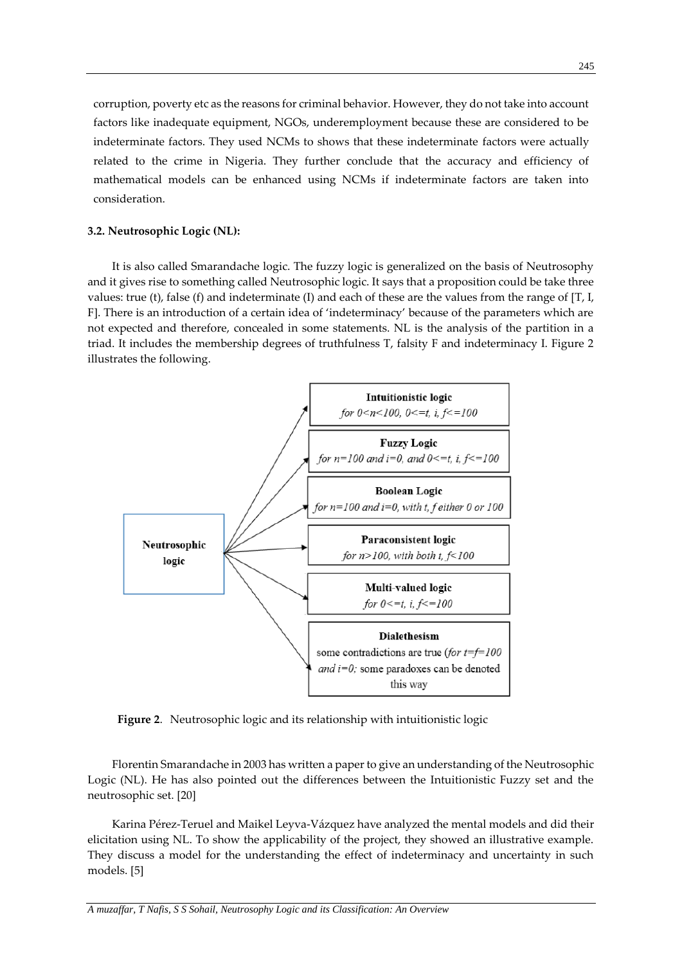corruption, poverty etc as the reasons for criminal behavior. However, they do not take into account factors like inadequate equipment, NGOs, underemployment because these are considered to be indeterminate factors. They used NCMs to shows that these indeterminate factors were actually related to the crime in Nigeria. They further conclude that the accuracy and efficiency of mathematical models can be enhanced using NCMs if indeterminate factors are taken into consideration.

## **3.2. Neutrosophic Logic (NL):**

It is also called Smarandache logic. The fuzzy logic is generalized on the basis of Neutrosophy and it gives rise to something called Neutrosophic logic. It says that a proposition could be take three values: true (t), false (f) and indeterminate (I) and each of these are the values from the range of  $[T, I, I]$ F]. There is an introduction of a certain idea of 'indeterminacy' because of the parameters which are not expected and therefore, concealed in some statements. NL is the analysis of the partition in a triad. It includes the membership degrees of truthfulness T, falsity F and indeterminacy I. Figure 2 illustrates the following.



**Figure 2**. Neutrosophic logic and its relationship with intuitionistic logic

Florentin Smarandache in 2003 has written a paper to give an understanding of the Neutrosophic Logic (NL). He has also pointed out the differences between the Intuitionistic Fuzzy set and the neutrosophic set. [20]

Karina Pérez-Teruel and Maikel Leyva-Vázquez have analyzed the mental models and did their elicitation using NL. To show the applicability of the project, they showed an illustrative example. They discuss a model for the understanding the effect of indeterminacy and uncertainty in such models. [5]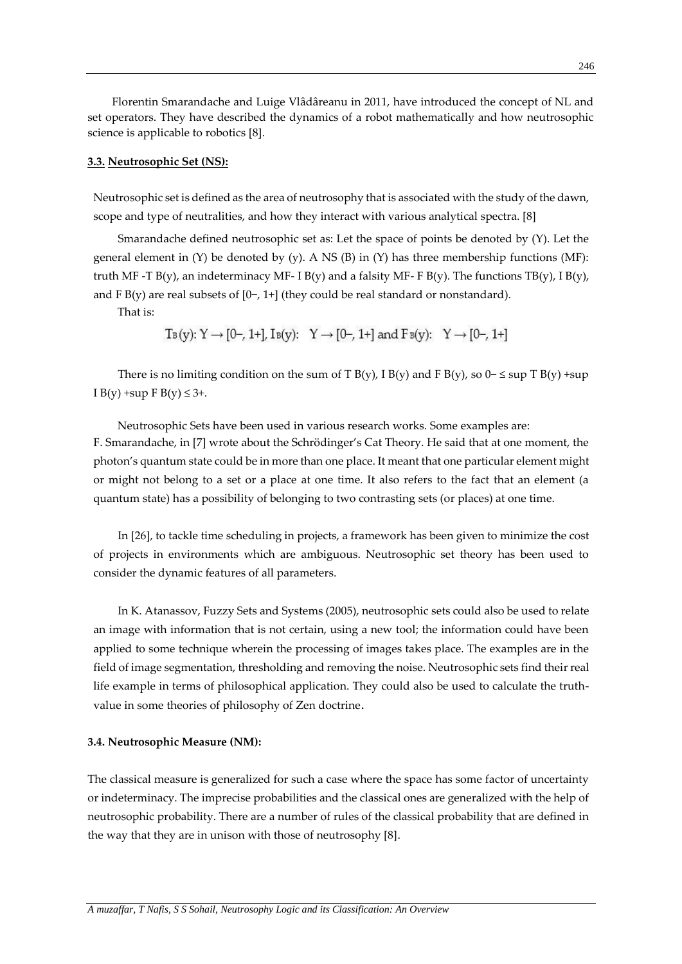Florentin Smarandache and Luige Vlâdâreanu in 2011, have introduced the concept of NL and set operators. They have described the dynamics of a robot mathematically and how neutrosophic science is applicable to robotics [8].

#### **3.3. Neutrosophic Set (NS):**

Neutrosophic set is defined as the area of neutrosophy that is associated with the study of the dawn, scope and type of neutralities, and how they interact with various analytical spectra. [8]

Smarandache defined neutrosophic set as: Let the space of points be denoted by (Y). Let the general element in  $(Y)$  be denoted by  $(y)$ . A NS  $(B)$  in  $(Y)$  has three membership functions  $(MF)$ : truth MF -T B(y), an indeterminacy MF- I B(y) and a falsity MF- F B(y). The functions TB(y), I B(y), and F B(y) are real subsets of [0−, 1+] (they could be real standard or nonstandard).

That is:

 $T_B(y): Y \rightarrow [0-, 1+]$ ,  $I_B(y): Y \rightarrow [0-, 1+]$  and  $F_B(y): Y \rightarrow [0-, 1+]$ 

There is no limiting condition on the sum of T B(y), I B(y) and F B(y), so  $0-$  ≤ sup T B(y) +sup I B(y) + sup F B(y)  $\leq 3+$ .

Neutrosophic Sets have been used in various research works. Some examples are: F. Smarandache, in [7] wrote about the Schrödinger's Cat Theory. He said that at one moment, the photon's quantum state could be in more than one place. It meant that one particular element might or might not belong to a set or a place at one time. It also refers to the fact that an element (a quantum state) has a possibility of belonging to two contrasting sets (or places) at one time.

In [26], to tackle time scheduling in projects, a framework has been given to minimize the cost of projects in environments which are ambiguous. Neutrosophic set theory has been used to consider the dynamic features of all parameters.

In K. Atanassov, Fuzzy Sets and Systems (2005), neutrosophic sets could also be used to relate an image with information that is not certain, using a new tool; the information could have been applied to some technique wherein the processing of images takes place. The examples are in the field of image segmentation, thresholding and removing the noise. Neutrosophic sets find their real life example in terms of philosophical application. They could also be used to calculate the truthvalue in some theories of philosophy of Zen doctrine.

#### **3.4. Neutrosophic Measure (NM):**

The classical measure is generalized for such a case where the space has some factor of uncertainty or indeterminacy. The imprecise probabilities and the classical ones are generalized with the help of neutrosophic probability. There are a number of rules of the classical probability that are defined in the way that they are in unison with those of neutrosophy [8].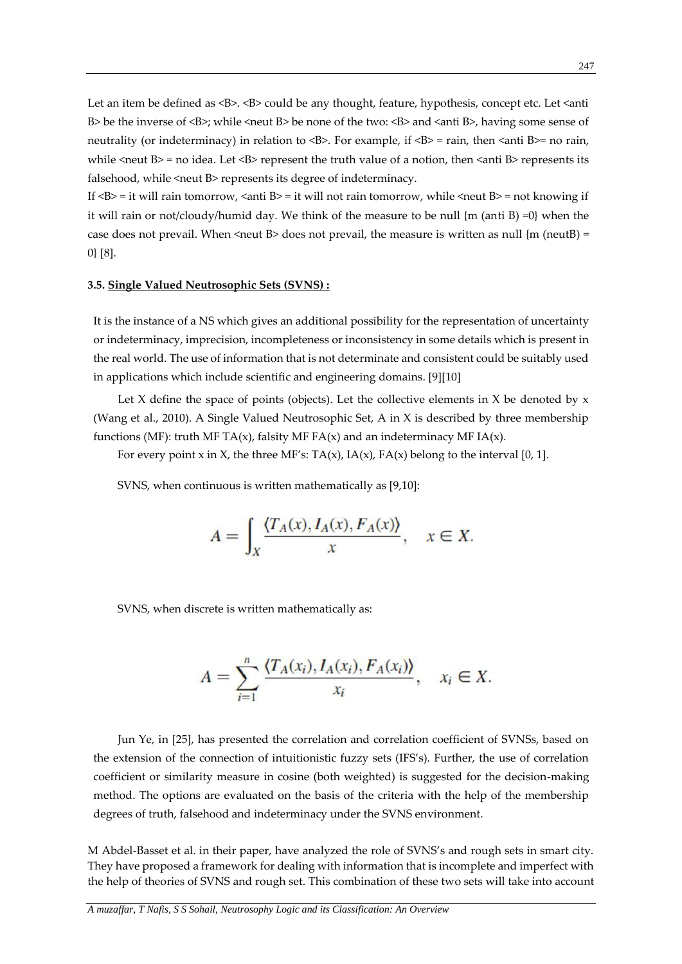Let an item be defined as <B>. <B> could be any thought, feature, hypothesis, concept etc. Let <anti B > be the inverse of  $\langle B \rangle$ ; while  $\langle$  neut B > be none of the two:  $\langle B \rangle$  and  $\langle$  anti B >, having some sense of neutrality (or indeterminacy) in relation to  $\langle B \rangle$ . For example, if  $\langle B \rangle$  = rain, then  $\langle A \rangle$  = no rain, while  $\le$ neut B> = no idea. Let  $\leq$ B> represent the truth value of a notion, then  $\leq$ anti B> represents its falsehood, while <neut B> represents its degree of indeterminacy.

If  $\langle B \rangle = i$  t will rain tomorrow,  $\langle A \rangle = i$  t will not rain tomorrow, while  $\langle A \rangle = \langle B \rangle = i$  to knowing if it will rain or not/cloudy/humid day. We think of the measure to be null  ${m}$  (anti B) =0} when the case does not prevail. When  $\le$  neut B> does not prevail, the measure is written as null  $\{m \text{ (neutB)} =$ 0} [8].

#### **3.5. Single Valued Neutrosophic Sets (SVNS) :**

It is the instance of a NS which gives an additional possibility for the representation of uncertainty or indeterminacy, imprecision, incompleteness or inconsistency in some details which is present in the real world. The use of information that is not determinate and consistent could be suitably used in applications which include scientific and engineering domains. [9][10]

Let X define the space of points (objects). Let the collective elements in X be denoted by  $x$ (Wang et al., 2010). A Single Valued Neutrosophic Set, A in X is described by three membership functions (MF): truth MF TA(x), falsity MF FA(x) and an indeterminacy MF IA(x).

For every point x in X, the three MF's:  $TA(x)$ ,  $IA(x)$ ,  $FA(x)$  belong to the interval [0, 1].

SVNS, when continuous is written mathematically as [9,10]:

$$
A = \int_X \frac{\langle T_A(x), I_A(x), F_A(x) \rangle}{x}, \quad x \in X.
$$

SVNS, when discrete is written mathematically as:

$$
A = \sum_{i=1}^{n} \frac{\langle T_A(x_i), I_A(x_i), F_A(x_i) \rangle}{x_i}, \quad x_i \in X.
$$

Jun Ye, in [25], has presented the correlation and correlation coefficient of SVNSs, based on the extension of the connection of intuitionistic fuzzy sets (IFS's). Further, the use of correlation coefficient or similarity measure in cosine (both weighted) is suggested for the decision-making method. The options are evaluated on the basis of the criteria with the help of the membership degrees of truth, falsehood and indeterminacy under the SVNS environment.

M Abdel-Basset et al. in their paper, have analyzed the role of SVNS's and rough sets in smart city. They have proposed a framework for dealing with information that is incomplete and imperfect with the help of theories of SVNS and rough set. This combination of these two sets will take into account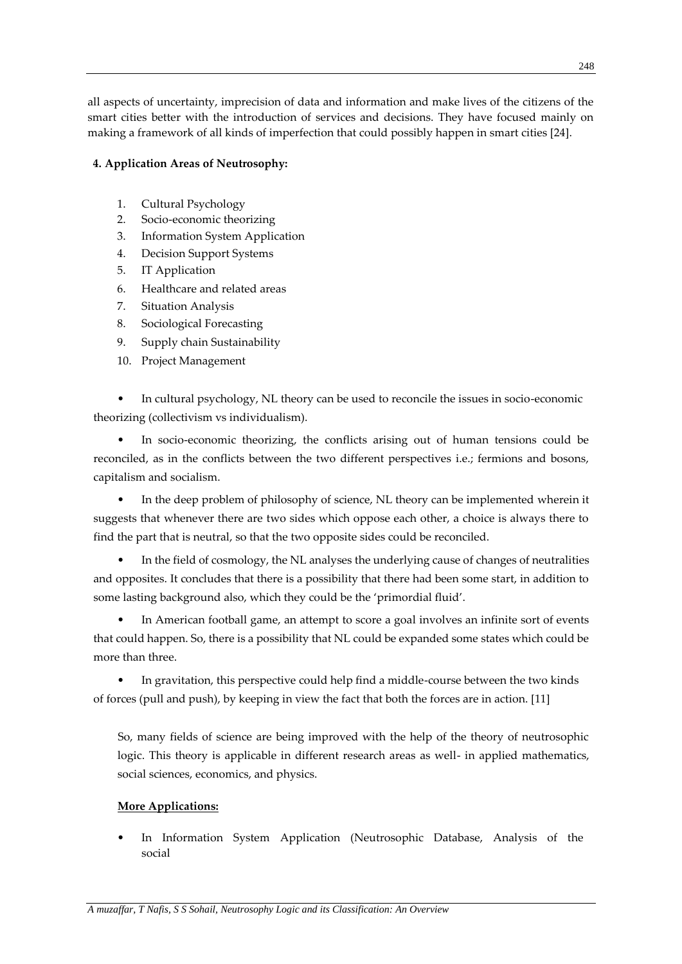all aspects of uncertainty, imprecision of data and information and make lives of the citizens of the smart cities better with the introduction of services and decisions. They have focused mainly on making a framework of all kinds of imperfection that could possibly happen in smart cities [24].

# **4. Application Areas of Neutrosophy:**

- 1. Cultural Psychology
- 2. Socio-economic theorizing
- 3. Information System Application
- 4. Decision Support Systems
- 5. IT Application
- 6. Healthcare and related areas
- 7. Situation Analysis
- 8. Sociological Forecasting
- 9. Supply chain Sustainability
- 10. Project Management

• In cultural psychology, NL theory can be used to reconcile the issues in socio-economic theorizing (collectivism vs individualism).

In socio-economic theorizing, the conflicts arising out of human tensions could be reconciled, as in the conflicts between the two different perspectives i.e.; fermions and bosons, capitalism and socialism.

• In the deep problem of philosophy of science, NL theory can be implemented wherein it suggests that whenever there are two sides which oppose each other, a choice is always there to find the part that is neutral, so that the two opposite sides could be reconciled.

• In the field of cosmology, the NL analyses the underlying cause of changes of neutralities and opposites. It concludes that there is a possibility that there had been some start, in addition to some lasting background also, which they could be the 'primordial fluid'.

• In American football game, an attempt to score a goal involves an infinite sort of events that could happen. So, there is a possibility that NL could be expanded some states which could be more than three.

• In gravitation, this perspective could help find a middle-course between the two kinds of forces (pull and push), by keeping in view the fact that both the forces are in action. [11]

So, many fields of science are being improved with the help of the theory of neutrosophic logic. This theory is applicable in different research areas as well- in applied mathematics, social sciences, economics, and physics.

# **More Applications:**

• In Information System Application (Neutrosophic Database, Analysis of the social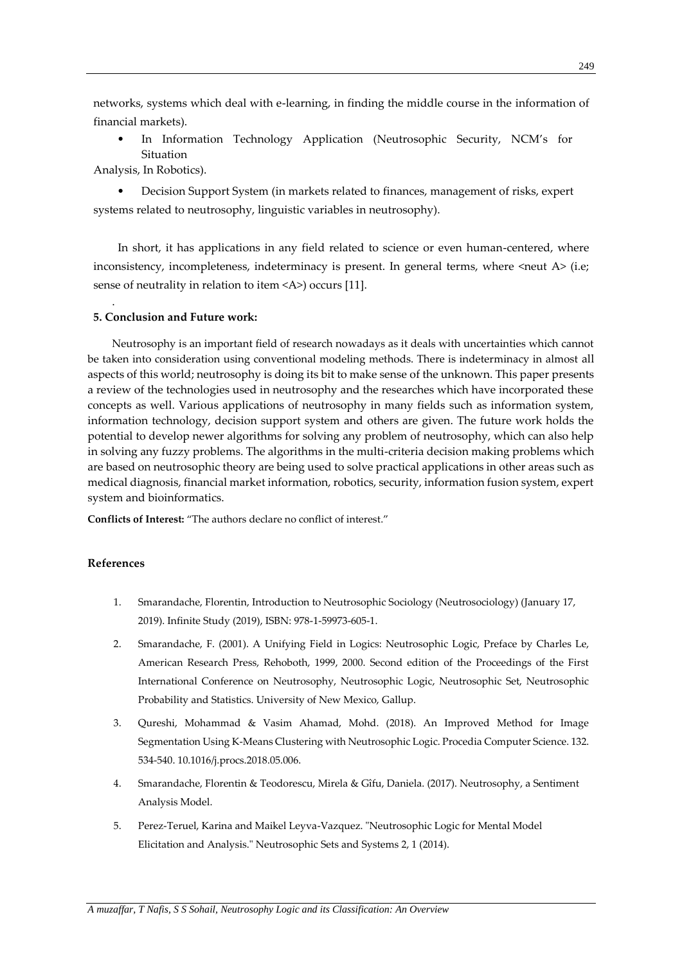networks, systems which deal with e-learning, in finding the middle course in the information of financial markets).

• In Information Technology Application (Neutrosophic Security, NCM's for Situation

Analysis, In Robotics).

• Decision Support System (in markets related to finances, management of risks, expert systems related to neutrosophy, linguistic variables in neutrosophy).

In short, it has applications in any field related to science or even human-centered, where inconsistency, incompleteness, indeterminacy is present. In general terms, where <neut A> (i.e; sense of neutrality in relation to item <A>) occurs [11].

# **5. Conclusion and Future work:**

Neutrosophy is an important field of research nowadays as it deals with uncertainties which cannot be taken into consideration using conventional modeling methods. There is indeterminacy in almost all aspects of this world; neutrosophy is doing its bit to make sense of the unknown. This paper presents a review of the technologies used in neutrosophy and the researches which have incorporated these concepts as well. Various applications of neutrosophy in many fields such as information system, information technology, decision support system and others are given. The future work holds the potential to develop newer algorithms for solving any problem of neutrosophy, which can also help in solving any fuzzy problems. The algorithms in the multi-criteria decision making problems which are based on neutrosophic theory are being used to solve practical applications in other areas such as medical diagnosis, financial market information, robotics, security, information fusion system, expert system and bioinformatics.

**Conflicts of Interest:** "The authors declare no conflict of interest."

## **References**

.

- 1. Smarandache, Florentin, Introduction to Neutrosophic Sociology (Neutrosociology) (January 17, 2019). Infinite Study (2019), ISBN: 978-1-59973-605-1.
- 2. Smarandache, F. (2001). A Unifying Field in Logics: Neutrosophic Logic, Preface by Charles Le, American Research Press, Rehoboth, 1999, 2000. Second edition of the Proceedings of the First International Conference on Neutrosophy, Neutrosophic Logic, Neutrosophic Set, Neutrosophic Probability and Statistics. University of New Mexico, Gallup.
- 3. Qureshi, Mohammad & Vasim Ahamad, Mohd. (2018). An Improved Method for Image Segmentation Using K-Means Clustering with Neutrosophic Logic. Procedia Computer Science. 132. 534-540. 10.1016/j.procs.2018.05.006.
- 4. Smarandache, Florentin & Teodorescu, Mirela & Gîfu, Daniela. (2017). Neutrosophy, a Sentiment Analysis Model.
- 5. Perez-Teruel, Karina and Maikel Leyva-Vazquez. "Neutrosophic Logic for Mental Model Elicitation and Analysis." Neutrosophic Sets and Systems 2, 1 (2014).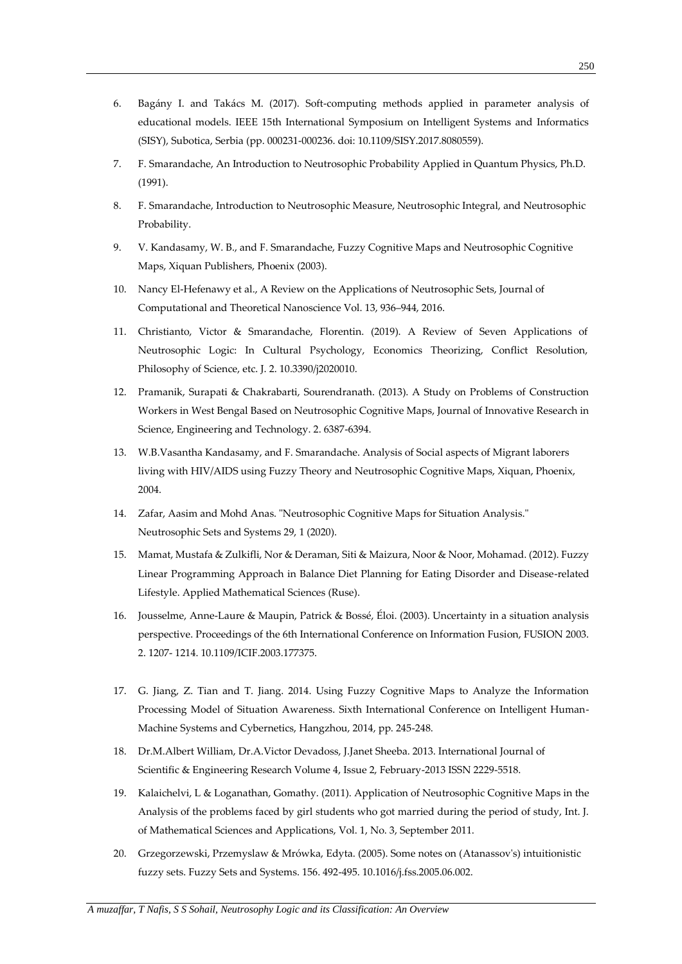- 7. F. Smarandache, An Introduction to Neutrosophic Probability Applied in Quantum Physics, Ph.D. (1991).
- 8. F. Smarandache, Introduction to Neutrosophic Measure, Neutrosophic Integral, and Neutrosophic Probability.
- 9. V. Kandasamy, W. B., and F. Smarandache, Fuzzy Cognitive Maps and Neutrosophic Cognitive Maps, Xiquan Publishers, Phoenix (2003).
- 10. Nancy El-Hefenawy et al., A Review on the Applications of Neutrosophic Sets, Journal of Computational and Theoretical Nanoscience Vol. 13, 936–944, 2016.
- 11. Christianto, Victor & Smarandache, Florentin. (2019). A Review of Seven Applications of Neutrosophic Logic: In Cultural Psychology, Economics Theorizing, Conflict Resolution, Philosophy of Science, etc. J. 2. 10.3390/j2020010.
- 12. Pramanik, Surapati & Chakrabarti, Sourendranath. (2013). A Study on Problems of Construction Workers in West Bengal Based on Neutrosophic Cognitive Maps, Journal of Innovative Research in Science, Engineering and Technology. 2. 6387-6394.
- 13. W.B.Vasantha Kandasamy, and F. Smarandache. Analysis of Social aspects of Migrant laborers living with HIV/AIDS using Fuzzy Theory and Neutrosophic Cognitive Maps, Xiquan, Phoenix, 2004.
- 14. Zafar, Aasim and Mohd Anas. "Neutrosophic Cognitive Maps for Situation Analysis." Neutrosophic Sets and Systems 29, 1 (2020).
- 15. Mamat, Mustafa & Zulkifli, Nor & Deraman, Siti & Maizura, Noor & Noor, Mohamad. (2012). Fuzzy Linear Programming Approach in Balance Diet Planning for Eating Disorder and Disease-related Lifestyle. Applied Mathematical Sciences (Ruse).
- 16. Jousselme, Anne-Laure & Maupin, Patrick & Bossé, Éloi. (2003). Uncertainty in a situation analysis perspective. Proceedings of the 6th International Conference on Information Fusion, FUSION 2003. 2. 1207- 1214. 10.1109/ICIF.2003.177375.
- 17. G. Jiang, Z. Tian and T. Jiang. 2014. Using Fuzzy Cognitive Maps to Analyze the Information Processing Model of Situation Awareness. Sixth International Conference on Intelligent Human-Machine Systems and Cybernetics, Hangzhou, 2014, pp. 245-248.
- 18. Dr.M.Albert William, Dr.A.Victor Devadoss, J.Janet Sheeba. 2013. International Journal of Scientific & Engineering Research Volume 4, Issue 2, February-2013 ISSN 2229-5518.
- 19. Kalaichelvi, L & Loganathan, Gomathy. (2011). Application of Neutrosophic Cognitive Maps in the Analysis of the problems faced by girl students who got married during the period of study, Int. J. of Mathematical Sciences and Applications, Vol. 1, No. 3, September 2011.
- 20. Grzegorzewski, Przemyslaw & Mrówka, Edyta. (2005). Some notes on (Atanassov's) intuitionistic fuzzy sets. Fuzzy Sets and Systems. 156. 492-495. 10.1016/j.fss.2005.06.002.